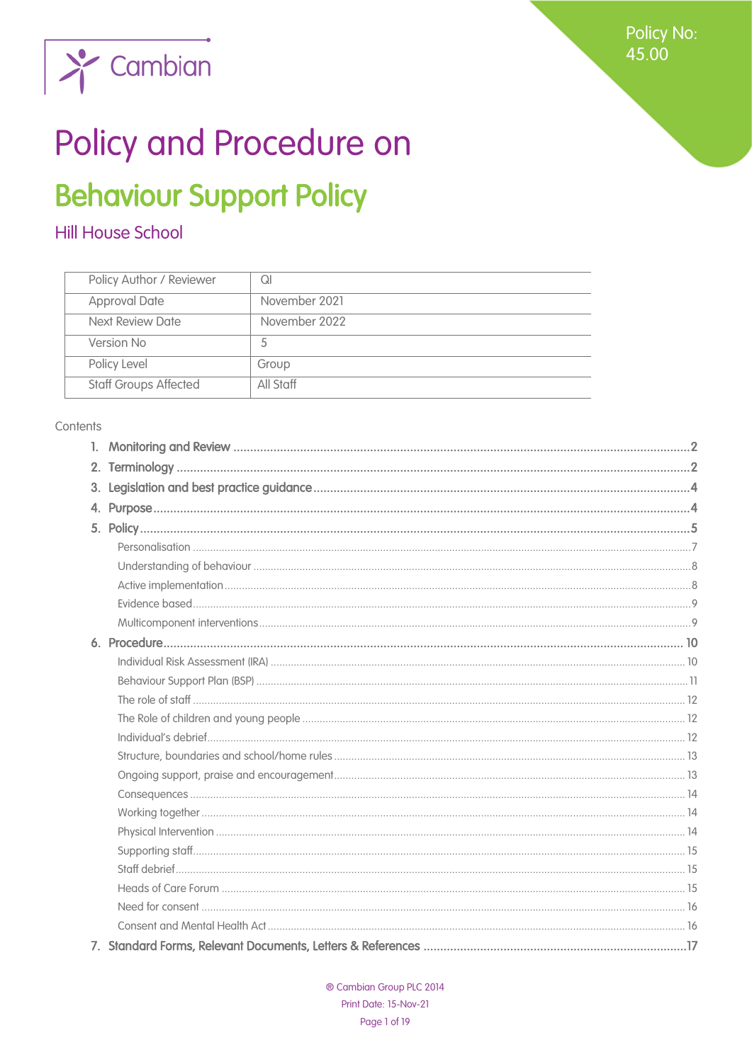**Policy No:** 45.00



# Policy and Procedure on

## **Behaviour Support Policy**

## Hill House School

| Policy Author / Reviewer     | Ql            |
|------------------------------|---------------|
| <b>Approval Date</b>         | November 2021 |
| Next Review Date             | November 2022 |
| Version No                   | 5             |
| Policy Level                 | Group         |
| <b>Staff Groups Affected</b> | All Staff     |

#### Contents

| 2. |  |
|----|--|
| 3. |  |
| 4. |  |
|    |  |
|    |  |
|    |  |
|    |  |
|    |  |
|    |  |
|    |  |
|    |  |
|    |  |
|    |  |
|    |  |
|    |  |
|    |  |
|    |  |
|    |  |
|    |  |
|    |  |
|    |  |
|    |  |
|    |  |
|    |  |
|    |  |
|    |  |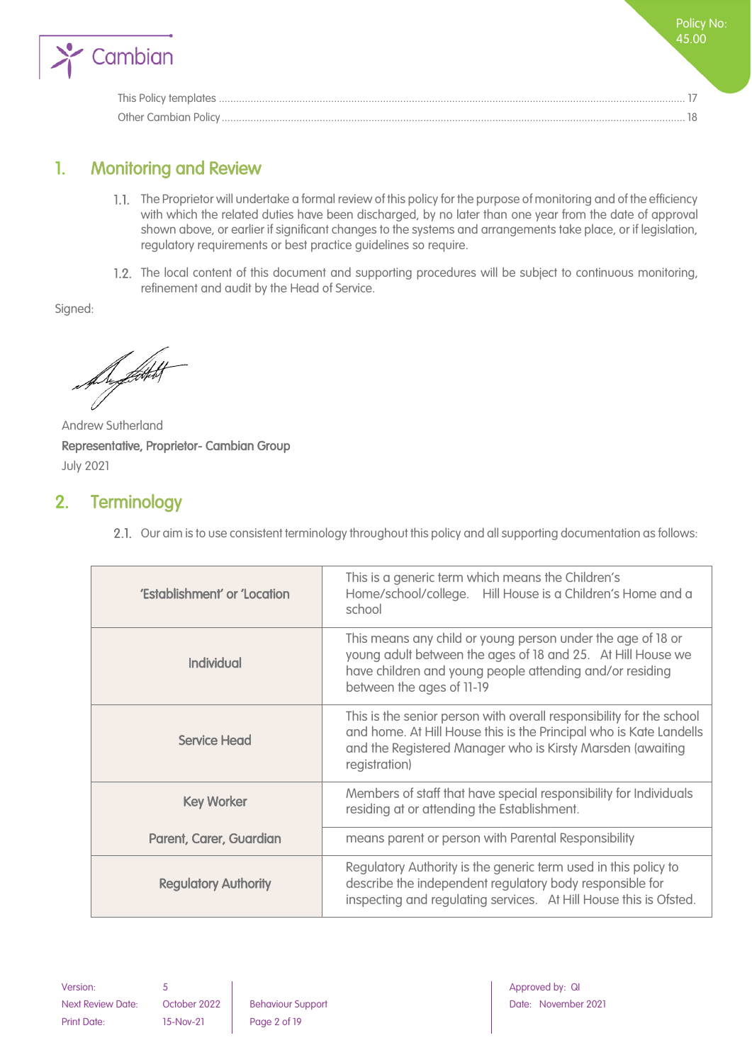

## <span id="page-1-0"></span>1. Monitoring and Review

- The Proprietor will undertake a formal review of this policy for the purpose of monitoring and of the efficiency with which the related duties have been discharged, by no later than one year from the date of approval shown above, or earlier if significant changes to the systems and arrangements take place, or if legislation, regulatory requirements or best practice guidelines so require.
- 1.2. The local content of this document and supporting procedures will be subject to continuous monitoring, refinement and audit by the Head of Service.

Signed:

Dyffith

Andrew Sutherland Representative, Proprietor- Cambian Group July 2021

## <span id="page-1-1"></span>2. Terminology

2.1. Our aim is to use consistent terminology throughout this policy and all supporting documentation as follows:

| 'Establishment' or 'Location | This is a generic term which means the Children's<br>Home/school/college. Hill House is a Children's Home and a<br>school                                                                                                 |
|------------------------------|---------------------------------------------------------------------------------------------------------------------------------------------------------------------------------------------------------------------------|
| <b>Individual</b>            | This means any child or young person under the age of 18 or<br>young adult between the ages of 18 and 25. At Hill House we<br>have children and young people attending and/or residing<br>between the ages of 11-19       |
| <b>Service Head</b>          | This is the senior person with overall responsibility for the school<br>and home. At Hill House this is the Principal who is Kate Landells<br>and the Registered Manager who is Kirsty Marsden (awaiting<br>registration) |
| <b>Key Worker</b>            | Members of staff that have special responsibility for Individuals<br>residing at or attending the Establishment.                                                                                                          |
| Parent, Carer, Guardian      | means parent or person with Parental Responsibility                                                                                                                                                                       |
| <b>Regulatory Authority</b>  | Regulatory Authority is the generic term used in this policy to<br>describe the independent regulatory body responsible for<br>inspecting and regulating services. At Hill House this is Ofsted.                          |

Next Review Date: October 2022 | Behaviour Support | Date: November 2021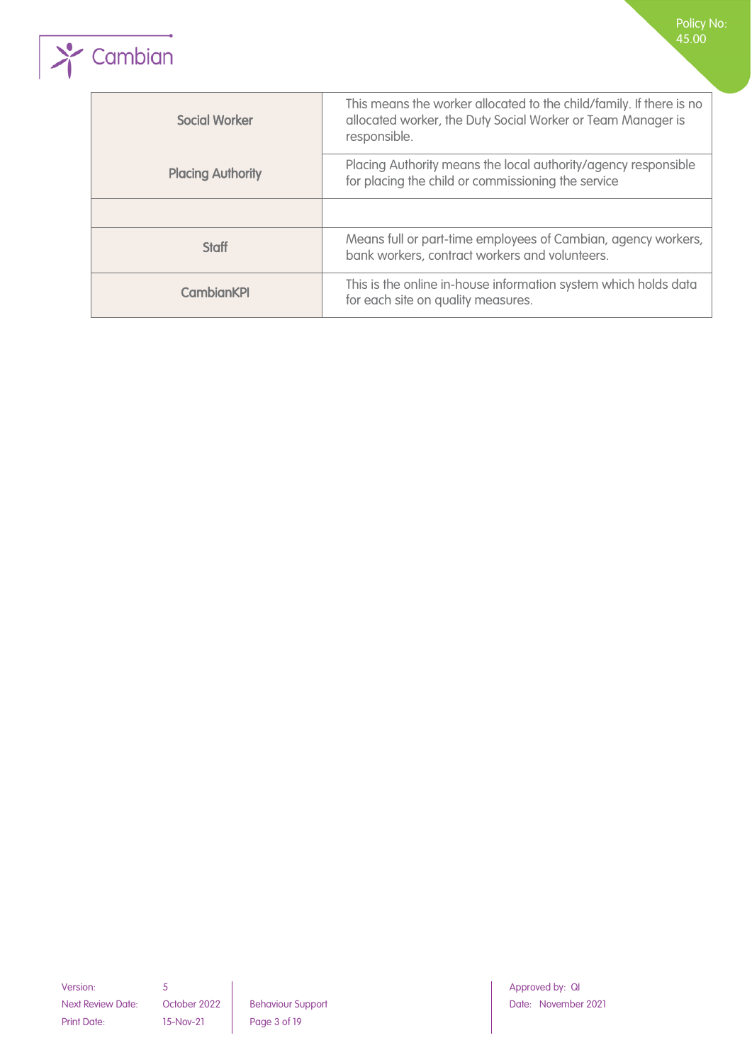

| <b>Social Worker</b>     | This means the worker allocated to the child/family. If there is no<br>allocated worker, the Duty Social Worker or Team Manager is<br>responsible. |
|--------------------------|----------------------------------------------------------------------------------------------------------------------------------------------------|
| <b>Placing Authority</b> | Placing Authority means the local authority/agency responsible<br>for placing the child or commissioning the service                               |
|                          |                                                                                                                                                    |
| <b>Staff</b>             | Means full or part-time employees of Cambian, agency workers,<br>bank workers, contract workers and volunteers.                                    |
| <b>CambianKPI</b>        | This is the online in-house information system which holds data<br>for each site on quality measures.                                              |

Next Review Date: October 2022 Behaviour Support Next Review Date: November 2021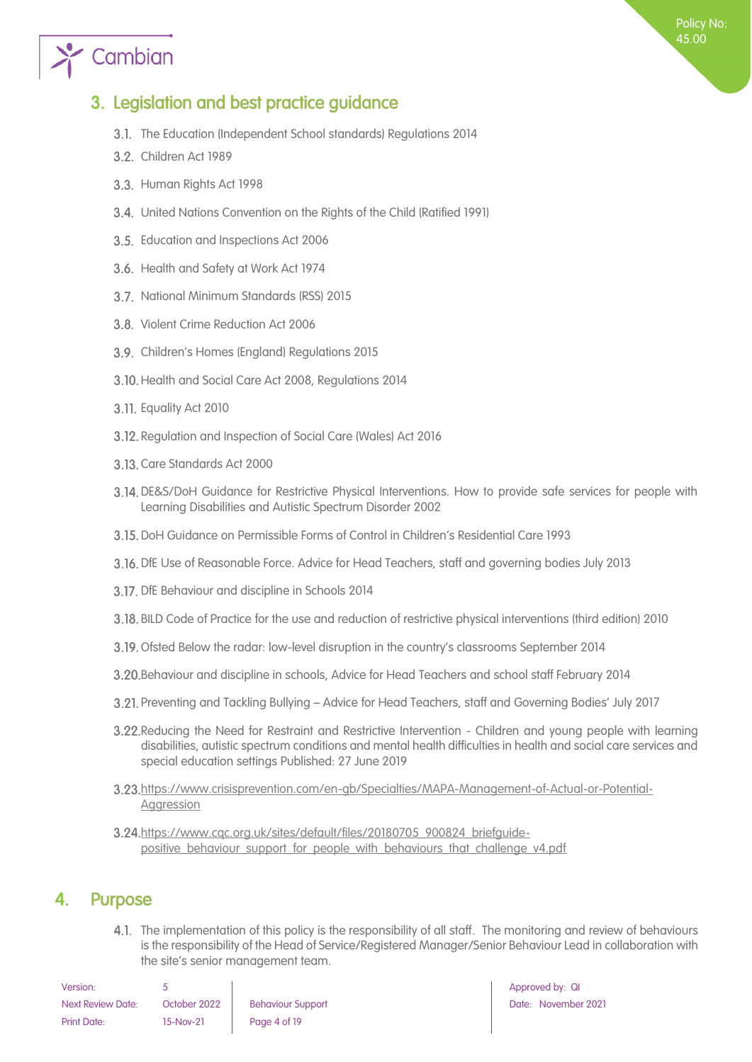## $\sum_{i=1}^{\infty}$  Cambian

## <span id="page-3-0"></span>3. Legislation and best practice guidance

- 3.1. The Education (Independent School standards) Regulations 2014
- 3.2. Children Act 1989
- 3.3. Human Rights Act 1998
- United Nations Convention on the Rights of the Child (Ratified 1991)
- 3.5. Education and Inspections Act 2006
- 3.6. Health and Safety at Work Act 1974
- 3.7. National Minimum Standards (RSS) 2015
- 3.8. Violent Crime Reduction Act 2006
- Children's Homes (England) Regulations 2015
- 3.10. Health and Social Care Act 2008, Regulations 2014
- 3.11. Equality Act 2010
- 3.12. Regulation and Inspection of Social Care (Wales) Act 2016
- 3.13. Care Standards Act 2000
- DE&S/DoH Guidance for Restrictive Physical Interventions. How to provide safe services for people with Learning Disabilities and Autistic Spectrum Disorder 2002
- DoH Guidance on Permissible Forms of Control in Children's Residential Care 1993
- DfE Use of Reasonable Force. Advice for Head Teachers, staff and governing bodies July 2013
- 3.17. DfE Behaviour and discipline in Schools 2014
- BILD Code of Practice for the use and reduction of restrictive physical interventions (third edition) 2010
- 3.19. Ofsted Below the radar: low-level disruption in the country's classrooms September 2014
- Behaviour and discipline in schools, Advice for Head Teachers and school staff February 2014
- Preventing and Tackling Bullying Advice for Head Teachers, staff and Governing Bodies' July 2017
- Reducing the Need for Restraint and Restrictive Intervention Children and young people with learning disabilities, autistic spectrum conditions and mental health difficulties in health and social care services and special education settings Published: 27 June 2019
- [https://www.crisisprevention.com/en-gb/Specialties/MAPA-Management-of-Actual-or-Potential-](https://www.crisisprevention.com/en-gb/Specialties/MAPA-Management-of-Actual-or-Potential-Aggression)**[Aggression](https://www.crisisprevention.com/en-gb/Specialties/MAPA-Management-of-Actual-or-Potential-Aggression)**
- [https://www.cqc.org.uk/sites/default/files/20180705\\_900824\\_briefguide](https://www.cqc.org.uk/sites/default/files/20180705_900824_briefguide-positive_behaviour_support_for_people_with_behaviours_that_challenge_v4.pdf)[positive\\_behaviour\\_support\\_for\\_people\\_with\\_behaviours\\_that\\_challenge\\_v4.pdf](https://www.cqc.org.uk/sites/default/files/20180705_900824_briefguide-positive_behaviour_support_for_people_with_behaviours_that_challenge_v4.pdf)

## <span id="page-3-1"></span>4. Purpose

4.1. The implementation of this policy is the responsibility of all staff. The monitoring and review of behaviours is the responsibility of the Head of Service/Registered Manager/Senior Behaviour Lead in collaboration with the site's senior management team.

| Version:                 |              |                          |
|--------------------------|--------------|--------------------------|
| <b>Next Review Date:</b> | October 2022 | <b>Behaviour Support</b> |
| Print Date:              | 15-Nov-21    | Page 4 of 19             |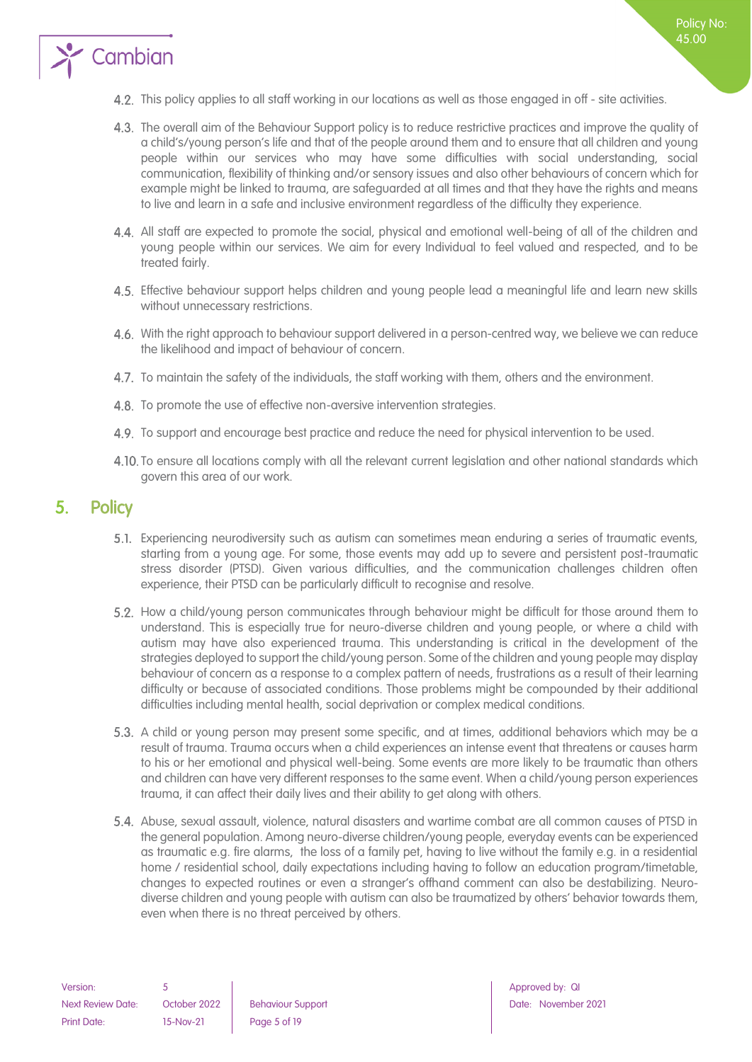

- The overall aim of the Behaviour Support policy is to reduce restrictive practices and improve the quality of a child's/young person's life and that of the people around them and to ensure that all children and young people within our services who may have some difficulties with social understanding, social communication, flexibility of thinking and/or sensory issues and also other behaviours of concern which for example might be linked to trauma, are safeguarded at all times and that they have the rights and means to live and learn in a safe and inclusive environment regardless of the difficulty they experience.
- All staff are expected to promote the social, physical and emotional well-being of all of the children and young people within our services. We aim for every Individual to feel valued and respected, and to be treated fairly.
- Effective behaviour support helps children and young people lead a meaningful life and learn new skills without unnecessary restrictions.
- 4.6. With the right approach to behaviour support delivered in a person-centred way, we believe we can reduce the likelihood and impact of behaviour of concern.
- 4.7. To maintain the safety of the individuals, the staff working with them, others and the environment.
- 4.8. To promote the use of effective non-aversive intervention strategies.
- 4.9. To support and encourage best practice and reduce the need for physical intervention to be used.
- 4.10. To ensure all locations comply with all the relevant current legislation and other national standards which govern this area of our work.

### <span id="page-4-0"></span>5. Policy

Cambian

- Experiencing neurodiversity such as autism can sometimes mean enduring a series of traumatic events, starting from a young age. For some, those events may add up to severe and persistent post-traumatic stress disorder (PTSD). Given various difficulties, and the communication challenges children often experience, their PTSD can be particularly difficult to recognise and resolve.
- 5.2. How a child/young person communicates through behaviour might be difficult for those around them to understand. This is especially true for neuro-diverse children and young people, or where a child with autism may have also experienced trauma. This understanding is critical in the development of the strategies deployed to support the child/young person. Some of the children and young people may display behaviour of concern as a response to a complex pattern of needs, frustrations as a result of their learning difficulty or because of associated conditions. Those problems might be compounded by their additional difficulties including mental health, social deprivation or complex medical conditions.
- 5.3. A child or young person may present some specific, and at times, additional behaviors which may be a result of trauma. Trauma occurs when a child experiences an intense event that threatens or causes harm to his or her emotional and physical well-being. Some events are more likely to be traumatic than others and children can have very different responses to the same event. When a child/young person experiences trauma, it can affect their daily lives and their ability to get along with others.
- Abuse, sexual assault, violence, natural disasters and wartime combat are all common causes of PTSD in the general population. Among neuro-diverse children/young people, everyday events can be experienced as traumatic e.g. fire alarms, the loss of a family pet, having to live without the family e.g. in a residential home / residential school, daily expectations including having to follow an education program/timetable, changes to expected routines or even a stranger's offhand comment can also be destabilizing. Neurodiverse children and young people with autism can also be traumatized by others' behavior towards them, even when there is no threat perceived by others.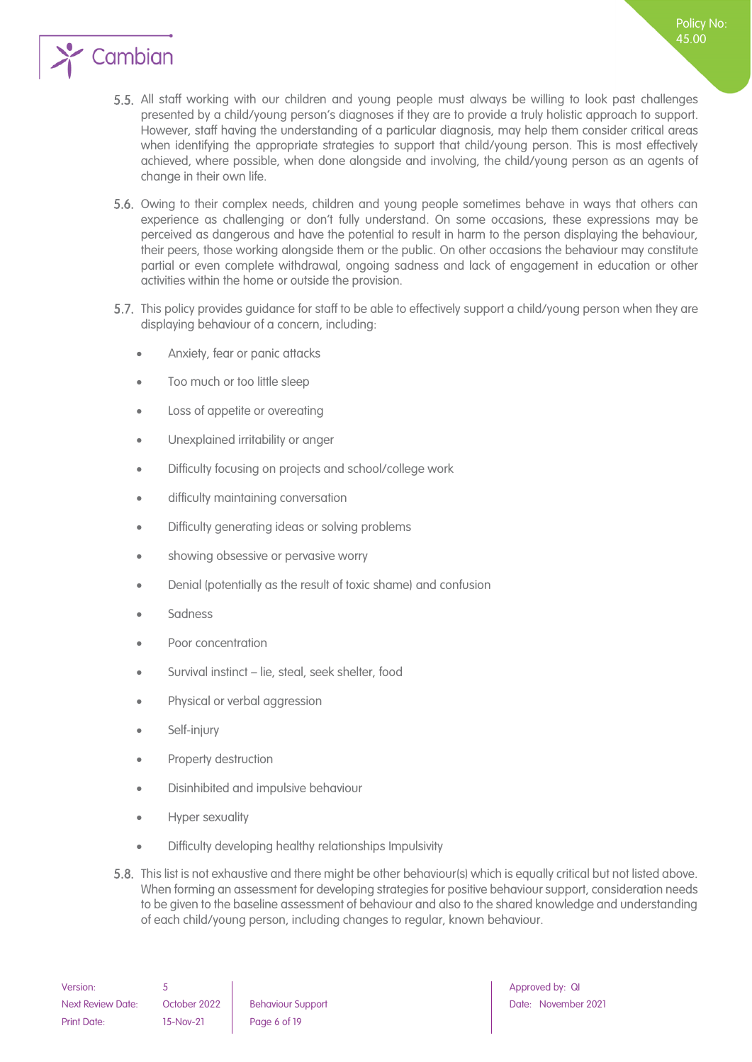

- 5.5. All staff working with our children and young people must always be willing to look past challenges presented by a child/young person's diagnoses if they are to provide a truly holistic approach to support. However, staff having the understanding of a particular diagnosis, may help them consider critical areas when identifying the appropriate strategies to support that child/young person. This is most effectively achieved, where possible, when done alongside and involving, the child/young person as an agents of change in their own life.
- 5.6. Owing to their complex needs, children and young people sometimes behave in ways that others can experience as challenging or don't fully understand. On some occasions, these expressions may be perceived as dangerous and have the potential to result in harm to the person displaying the behaviour, their peers, those working alongside them or the public. On other occasions the behaviour may constitute partial or even complete withdrawal, ongoing sadness and lack of engagement in education or other activities within the home or outside the provision.
- 5.7. This policy provides guidance for staff to be able to effectively support a child/young person when they are displaying behaviour of a concern, including:
	- Anxiety, fear or panic attacks
	- Too much or too little sleep
	- Loss of appetite or overeating
	- Unexplained irritability or anger
	- Difficulty focusing on projects and school/college work
	- difficulty maintaining conversation
	- Difficulty generating ideas or solving problems
	- showing obsessive or pervasive worry
	- Denial (potentially as the result of toxic shame) and confusion
	- Sadness
	- Poor concentration
	- Survival instinct lie, steal, seek shelter, food
	- Physical or verbal aggression
	- Self-injury
	- Property destruction
	- Disinhibited and impulsive behaviour
	- Hyper sexuality
	- Difficulty developing healthy relationships Impulsivity
- 5.8. This list is not exhaustive and there might be other behaviour(s) which is equally critical but not listed above. When forming an assessment for developing strategies for positive behaviour support, consideration needs to be given to the baseline assessment of behaviour and also to the shared knowledge and understanding of each child/young person, including changes to regular, known behaviour.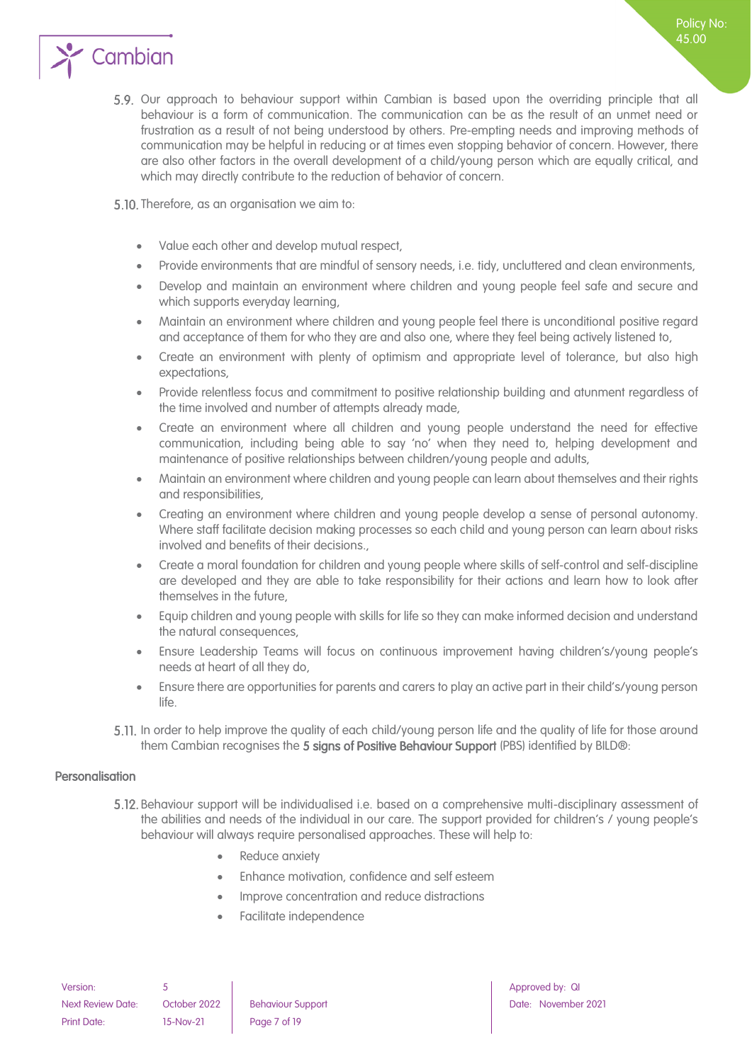

5.9. Our approach to behaviour support within Cambian is based upon the overriding principle that all behaviour is a form of communication. The communication can be as the result of an unmet need or frustration as a result of not being understood by others. Pre-empting needs and improving methods of communication may be helpful in reducing or at times even stopping behavior of concern. However, there are also other factors in the overall development of a child/young person which are equally critical, and which may directly contribute to the reduction of behavior of concern.

5.10. Therefore, as an organisation we aim to:

- Value each other and develop mutual respect,
- Provide environments that are mindful of sensory needs, i.e. tidy, uncluttered and clean environments,
- Develop and maintain an environment where children and young people feel safe and secure and which supports everyday learning,
- Maintain an environment where children and young people feel there is unconditional positive regard and acceptance of them for who they are and also one, where they feel being actively listened to,
- Create an environment with plenty of optimism and appropriate level of tolerance, but also high expectations,
- Provide relentless focus and commitment to positive relationship building and atunment regardless of the time involved and number of attempts already made,
- Create an environment where all children and young people understand the need for effective communication, including being able to say 'no' when they need to, helping development and maintenance of positive relationships between children/young people and adults,
- Maintain an environment where children and young people can learn about themselves and their rights and responsibilities,
- Creating an environment where children and young people develop a sense of personal autonomy. Where staff facilitate decision making processes so each child and young person can learn about risks involved and benefits of their decisions.,
- Create a moral foundation for children and young people where skills of self-control and self-discipline are developed and they are able to take responsibility for their actions and learn how to look after themselves in the future,
- Equip children and young people with skills for life so they can make informed decision and understand the natural consequences,
- Ensure Leadership Teams will focus on continuous improvement having children's/young people's needs at heart of all they do,
- Ensure there are opportunities for parents and carers to play an active part in their child's/young person life.
- 5.11. In order to help improve the quality of each child/young person life and the quality of life for those around them Cambian recognises the 5 signs of Positive Behaviour Support (PBS) identified by BILD®:

#### <span id="page-6-0"></span>Personalisation

- Behaviour support will be individualised i.e. based on a comprehensive multi-disciplinary assessment of the abilities and needs of the individual in our care. The support provided for children's / young people's behaviour will always require personalised approaches. These will help to:
	- Reduce anxiety
	- Enhance motivation, confidence and self esteem
	- Improve concentration and reduce distractions
	- Facilitate independence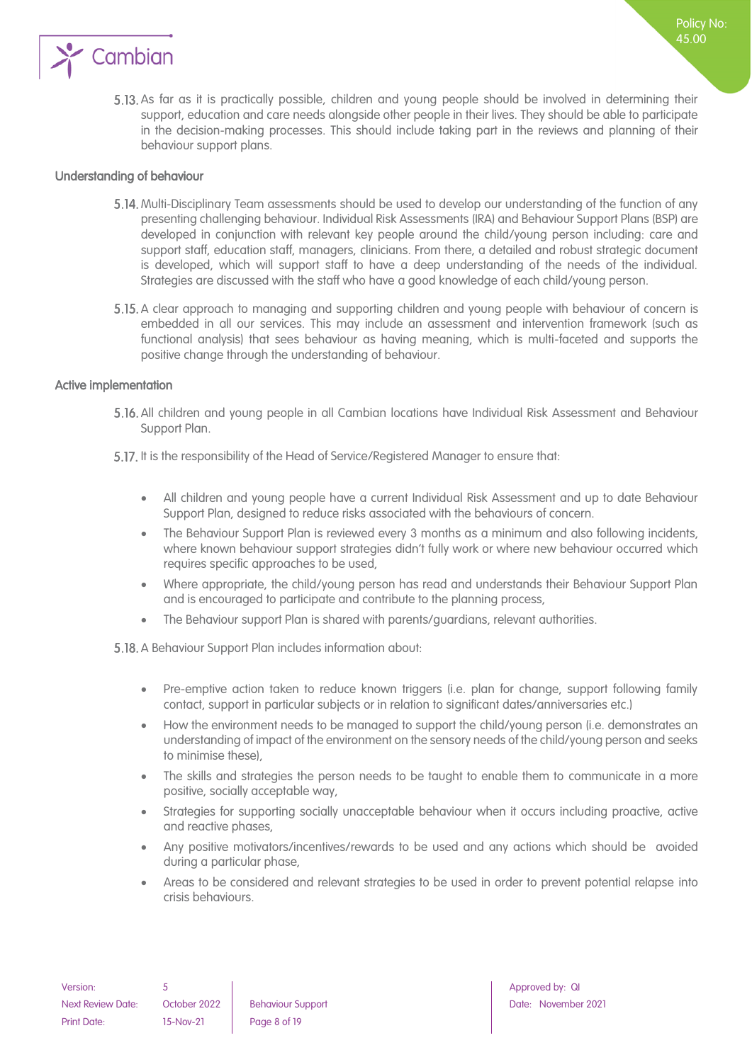

5.13. As far as it is practically possible, children and young people should be involved in determining their support, education and care needs alongside other people in their lives. They should be able to participate in the decision-making processes. This should include taking part in the reviews and planning of their behaviour support plans.

Policy No: 45.00

#### <span id="page-7-0"></span>Understanding of behaviour

- 5.14. Multi-Disciplinary Team assessments should be used to develop our understanding of the function of any presenting challenging behaviour. Individual Risk Assessments (IRA) and Behaviour Support Plans (BSP) are developed in conjunction with relevant key people around the child/young person including: care and support staff, education staff, managers, clinicians. From there, a detailed and robust strategic document is developed, which will support staff to have a deep understanding of the needs of the individual. Strategies are discussed with the staff who have a good knowledge of each child/young person.
- 5.15. A clear approach to managing and supporting children and young people with behaviour of concern is embedded in all our services. This may include an assessment and intervention framework (such as functional analysis) that sees behaviour as having meaning, which is multi-faceted and supports the positive change through the understanding of behaviour.

#### <span id="page-7-1"></span>Active implementation

- All children and young people in all Cambian locations have Individual Risk Assessment and Behaviour Support Plan.
- 5.17. It is the responsibility of the Head of Service/Registered Manager to ensure that:
	- All children and young people have a current Individual Risk Assessment and up to date Behaviour Support Plan, designed to reduce risks associated with the behaviours of concern.
	- The Behaviour Support Plan is reviewed every 3 months as a minimum and also following incidents, where known behaviour support strategies didn't fully work or where new behaviour occurred which requires specific approaches to be used,
	- Where appropriate, the child/young person has read and understands their Behaviour Support Plan and is encouraged to participate and contribute to the planning process,
	- The Behaviour support Plan is shared with parents/guardians, relevant authorities.

5.18. A Behaviour Support Plan includes information about:

- Pre-emptive action taken to reduce known triggers (i.e. plan for change, support following family contact, support in particular subjects or in relation to significant dates/anniversaries etc.)
- How the environment needs to be managed to support the child/young person (i.e. demonstrates an understanding of impact of the environment on the sensory needs of the child/young person and seeks to minimise these),
- The skills and strategies the person needs to be taught to enable them to communicate in a more positive, socially acceptable way,
- Strategies for supporting socially unacceptable behaviour when it occurs including proactive, active and reactive phases,
- Any positive motivators/incentives/rewards to be used and any actions which should be avoided during a particular phase,
- Areas to be considered and relevant strategies to be used in order to prevent potential relapse into crisis behaviours.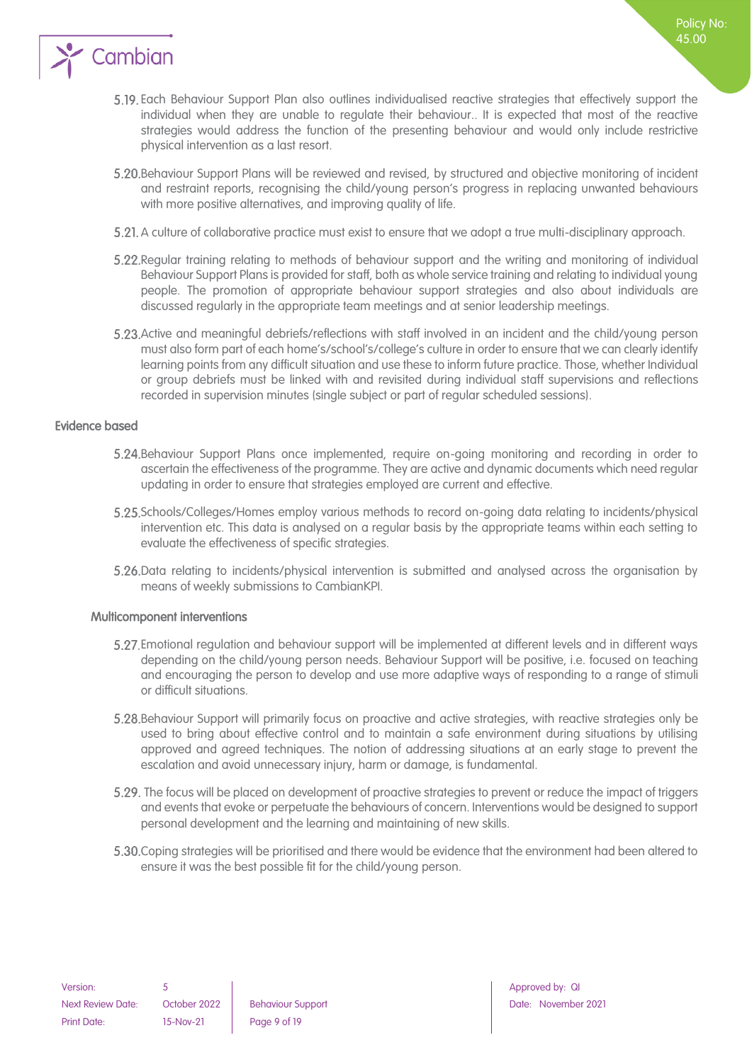

Each Behaviour Support Plan also outlines individualised reactive strategies that effectively support the individual when they are unable to regulate their behaviour.. It is expected that most of the reactive strategies would address the function of the presenting behaviour and would only include restrictive physical intervention as a last resort.

Policy No: 45.00

- Behaviour Support Plans will be reviewed and revised, by structured and objective monitoring of incident and restraint reports, recognising the child/young person's progress in replacing unwanted behaviours with more positive alternatives, and improving quality of life.
- A culture of collaborative practice must exist to ensure that we adopt a true multi-disciplinary approach.
- 5.22. Regular training relating to methods of behaviour support and the writing and monitoring of individual Behaviour Support Plans is provided for staff, both as whole service training and relating to individual young people. The promotion of appropriate behaviour support strategies and also about individuals are discussed regularly in the appropriate team meetings and at senior leadership meetings.
- Active and meaningful debriefs/reflections with staff involved in an incident and the child/young person must also form part of each home's/school's/college's culture in order to ensure that we can clearly identify learning points from any difficult situation and use these to inform future practice. Those, whether Individual or group debriefs must be linked with and revisited during individual staff supervisions and reflections recorded in supervision minutes (single subject or part of regular scheduled sessions).

#### <span id="page-8-0"></span>Evidence based

- Behaviour Support Plans once implemented, require on-going monitoring and recording in order to ascertain the effectiveness of the programme. They are active and dynamic documents which need regular updating in order to ensure that strategies employed are current and effective.
- Schools/Colleges/Homes employ various methods to record on-going data relating to incidents/physical intervention etc. This data is analysed on a regular basis by the appropriate teams within each setting to evaluate the effectiveness of specific strategies.
- 5.26. Data relating to incidents/physical intervention is submitted and analysed across the organisation by means of weekly submissions to CambianKPI.

#### <span id="page-8-1"></span>Multicomponent interventions

- Emotional regulation and behaviour support will be implemented at different levels and in different ways depending on the child/young person needs. Behaviour Support will be positive, i.e. focused on teaching and encouraging the person to develop and use more adaptive ways of responding to a range of stimuli or difficult situations.
- Behaviour Support will primarily focus on proactive and active strategies, with reactive strategies only be used to bring about effective control and to maintain a safe environment during situations by utilising approved and agreed techniques. The notion of addressing situations at an early stage to prevent the escalation and avoid unnecessary injury, harm or damage, is fundamental.
- 5.29. The focus will be placed on development of proactive strategies to prevent or reduce the impact of triggers and events that evoke or perpetuate the behaviours of concern. Interventions would be designed to support personal development and the learning and maintaining of new skills.
- Coping strategies will be prioritised and there would be evidence that the environment had been altered to ensure it was the best possible fit for the child/young person.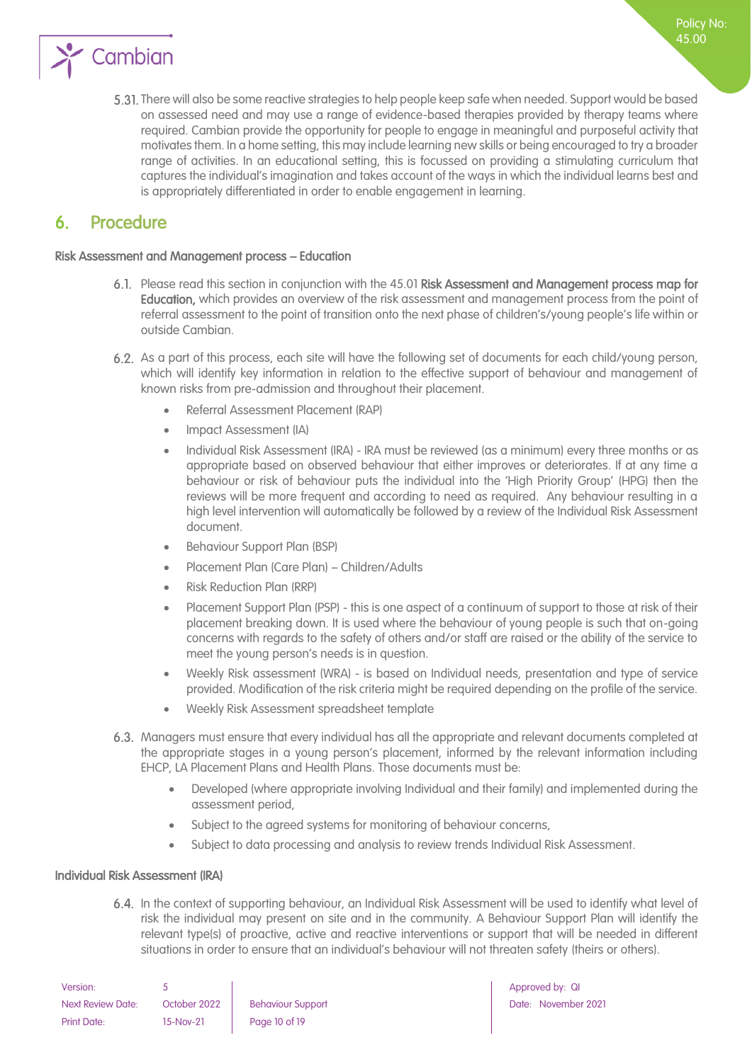

There will also be some reactive strategies to help people keep safe when needed. Support would be based on assessed need and may use a range of evidence-based therapies provided by therapy teams where required. Cambian provide the opportunity for people to engage in meaningful and purposeful activity that motivates them. In a home setting, this may include learning new skills or being encouraged to try a broader range of activities. In an educational setting, this is focussed on providing a stimulating curriculum that captures the individual's imagination and takes account of the ways in which the individual learns best and is appropriately differentiated in order to enable engagement in learning.

### <span id="page-9-0"></span>6. Procedure

#### Risk Assessment and Management process – Education

- Please read this section in conjunction with the 45.01 Risk Assessment and Management process map for Education, which provides an overview of the risk assessment and management process from the point of referral assessment to the point of transition onto the next phase of children's/young people's life within or outside Cambian.
- As a part of this process, each site will have the following set of documents for each child/young person, which will identify key information in relation to the effective support of behaviour and management of known risks from pre-admission and throughout their placement.
	- Referral Assessment Placement (RAP)
	- Impact Assessment (IA)
	- Individual Risk Assessment (IRA) IRA must be reviewed (as a minimum) every three months or as appropriate based on observed behaviour that either improves or deteriorates. If at any time a behaviour or risk of behaviour puts the individual into the 'High Priority Group' (HPG) then the reviews will be more frequent and according to need as required. Any behaviour resulting in a high level intervention will automatically be followed by a review of the Individual Risk Assessment document.
	- Behaviour Support Plan (BSP)
	- Placement Plan (Care Plan) Children/Adults
	- Risk Reduction Plan (RRP)
	- Placement Support Plan (PSP) this is one aspect of a continuum of support to those at risk of their placement breaking down. It is used where the behaviour of young people is such that on-going concerns with regards to the safety of others and/or staff are raised or the ability of the service to meet the young person's needs is in question.
	- Weekly Risk assessment (WRA) is based on Individual needs, presentation and type of service provided. Modification of the risk criteria might be required depending on the profile of the service.
	- Weekly Risk Assessment spreadsheet template
- Managers must ensure that every individual has all the appropriate and relevant documents completed at the appropriate stages in a young person's placement, informed by the relevant information including EHCP, LA Placement Plans and Health Plans. Those documents must be:
	- Developed (where appropriate involving Individual and their family) and implemented during the assessment period,
	- Subject to the agreed systems for monitoring of behaviour concerns,
	- Subject to data processing and analysis to review trends Individual Risk Assessment.

#### <span id="page-9-1"></span>Individual Risk Assessment (IRA)

6.4. In the context of supporting behaviour, an Individual Risk Assessment will be used to identify what level of risk the individual may present on site and in the community. A Behaviour Support Plan will identify the relevant type(s) of proactive, active and reactive interventions or support that will be needed in different situations in order to ensure that an individual's behaviour will not threaten safety (theirs or others).

| Version:                 |              |                          |
|--------------------------|--------------|--------------------------|
| <b>Next Review Date:</b> | October 2022 | <b>Behaviour Support</b> |
| Print Date:              | 15-Nov-21    | Page 10 of 19            |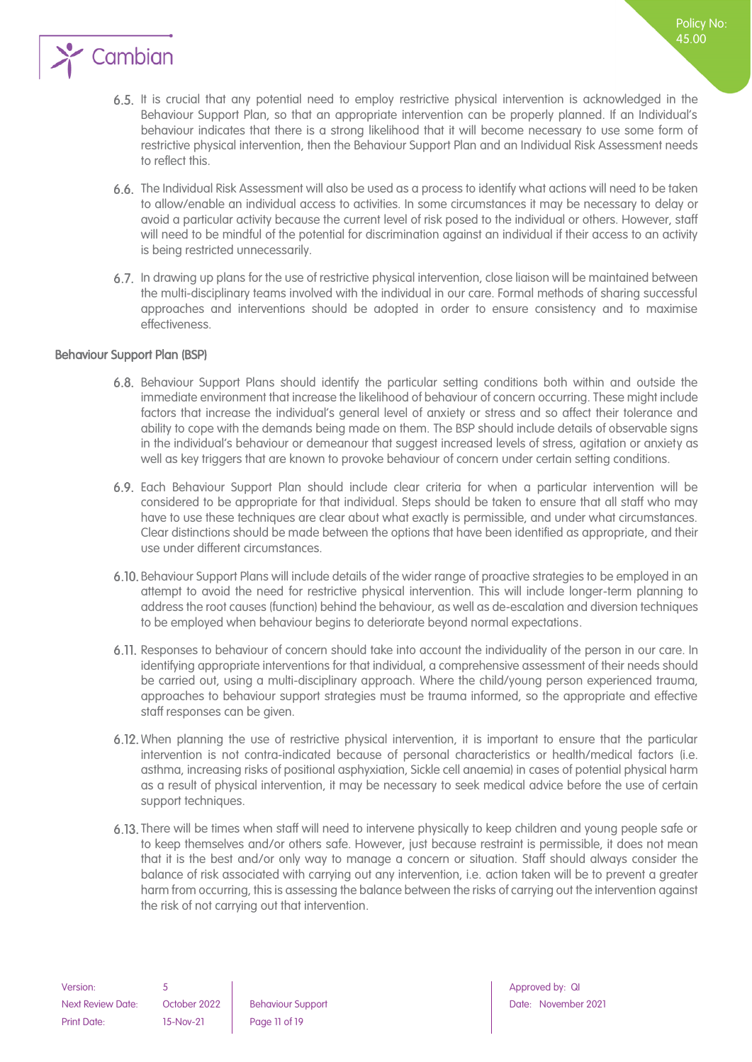

- 6.5. It is crucial that any potential need to employ restrictive physical intervention is acknowledged in the Behaviour Support Plan, so that an appropriate intervention can be properly planned. If an Individual's behaviour indicates that there is a strong likelihood that it will become necessary to use some form of restrictive physical intervention, then the Behaviour Support Plan and an Individual Risk Assessment needs to reflect this.
- The Individual Risk Assessment will also be used as a process to identify what actions will need to be taken to allow/enable an individual access to activities. In some circumstances it may be necessary to delay or avoid a particular activity because the current level of risk posed to the individual or others. However, staff will need to be mindful of the potential for discrimination against an individual if their access to an activity is being restricted unnecessarily.
- 6.7. In drawing up plans for the use of restrictive physical intervention, close liaison will be maintained between the multi-disciplinary teams involved with the individual in our care. Formal methods of sharing successful approaches and interventions should be adopted in order to ensure consistency and to maximise effectiveness.

#### <span id="page-10-0"></span>Behaviour Support Plan (BSP)

- Behaviour Support Plans should identify the particular setting conditions both within and outside the immediate environment that increase the likelihood of behaviour of concern occurring. These might include factors that increase the individual's general level of anxiety or stress and so affect their tolerance and ability to cope with the demands being made on them. The BSP should include details of observable signs in the individual's behaviour or demeanour that suggest increased levels of stress, agitation or anxiety as well as key triggers that are known to provoke behaviour of concern under certain setting conditions.
- Each Behaviour Support Plan should include clear criteria for when a particular intervention will be considered to be appropriate for that individual. Steps should be taken to ensure that all staff who may have to use these techniques are clear about what exactly is permissible, and under what circumstances. Clear distinctions should be made between the options that have been identified as appropriate, and their use under different circumstances.
- Behaviour Support Plans will include details of the wider range of proactive strategies to be employed in an attempt to avoid the need for restrictive physical intervention. This will include longer-term planning to address the root causes (function) behind the behaviour, as well as de-escalation and diversion techniques to be employed when behaviour begins to deteriorate beyond normal expectations.
- 6.11. Responses to behaviour of concern should take into account the individuality of the person in our care. In identifying appropriate interventions for that individual, a comprehensive assessment of their needs should be carried out, using a multi-disciplinary approach. Where the child/young person experienced trauma, approaches to behaviour support strategies must be trauma informed, so the appropriate and effective staff responses can be given.
- 6.12. When planning the use of restrictive physical intervention, it is important to ensure that the particular intervention is not contra-indicated because of personal characteristics or health/medical factors (i.e. asthma, increasing risks of positional asphyxiation, Sickle cell anaemia) in cases of potential physical harm as a result of physical intervention, it may be necessary to seek medical advice before the use of certain support techniques.
- 6.13. There will be times when staff will need to intervene physically to keep children and young people safe or to keep themselves and/or others safe. However, just because restraint is permissible, it does not mean that it is the best and/or only way to manage a concern or situation. Staff should always consider the balance of risk associated with carrying out any intervention, i.e. action taken will be to prevent a greater harm from occurring, this is assessing the balance between the risks of carrying out the intervention against the risk of not carrying out that intervention.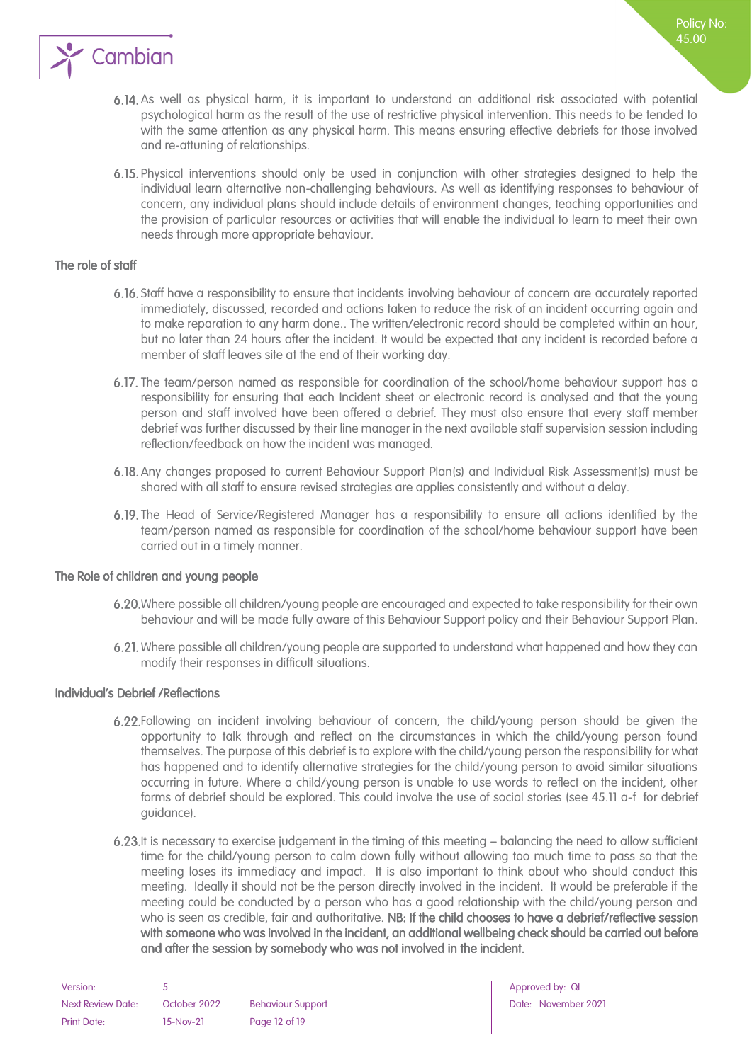

- As well as physical harm, it is important to understand an additional risk associated with potential psychological harm as the result of the use of restrictive physical intervention. This needs to be tended to with the same attention as any physical harm. This means ensuring effective debriefs for those involved and re-attuning of relationships.
- Physical interventions should only be used in conjunction with other strategies designed to help the individual learn alternative non-challenging behaviours. As well as identifying responses to behaviour of concern, any individual plans should include details of environment changes, teaching opportunities and the provision of particular resources or activities that will enable the individual to learn to meet their own needs through more appropriate behaviour.

#### <span id="page-11-0"></span>The role of staff

- Staff have a responsibility to ensure that incidents involving behaviour of concern are accurately reported immediately, discussed, recorded and actions taken to reduce the risk of an incident occurring again and to make reparation to any harm done.. The written/electronic record should be completed within an hour, but no later than 24 hours after the incident. It would be expected that any incident is recorded before a member of staff leaves site at the end of their working day.
- 6.17. The team/person named as responsible for coordination of the school/home behaviour support has a responsibility for ensuring that each Incident sheet or electronic record is analysed and that the young person and staff involved have been offered a debrief. They must also ensure that every staff member debrief was further discussed by their line manager in the next available staff supervision session including reflection/feedback on how the incident was managed.
- Any changes proposed to current Behaviour Support Plan(s) and Individual Risk Assessment(s) must be shared with all staff to ensure revised strategies are applies consistently and without a delay.
- 6.19. The Head of Service/Registered Manager has a responsibility to ensure all actions identified by the team/person named as responsible for coordination of the school/home behaviour support have been carried out in a timely manner.

#### <span id="page-11-1"></span>The Role of children and young people

- Where possible all children/young people are encouraged and expected to take responsibility for their own behaviour and will be made fully aware of this Behaviour Support policy and their Behaviour Support Plan.
- Where possible all children/young people are supported to understand what happened and how they can modify their responses in difficult situations.

#### <span id="page-11-2"></span>Individual's Debrief /Reflections

- Following an incident involving behaviour of concern, the child/young person should be given the opportunity to talk through and reflect on the circumstances in which the child/young person found themselves. The purpose of this debrief is to explore with the child/young person the responsibility for what has happened and to identify alternative strategies for the child/young person to avoid similar situations occurring in future. Where a child/young person is unable to use words to reflect on the incident, other forms of debrief should be explored. This could involve the use of social stories (see 45.11 a-f for debrief guidance).
- 6.23. It is necessary to exercise judgement in the timing of this meeting balancing the need to allow sufficient time for the child/young person to calm down fully without allowing too much time to pass so that the meeting loses its immediacy and impact. It is also important to think about who should conduct this meeting. Ideally it should not be the person directly involved in the incident. It would be preferable if the meeting could be conducted by a person who has a good relationship with the child/young person and who is seen as credible, fair and authoritative. NB: If the child chooses to have a debrief/reflective session with someone who was involved in the incident, an additional wellbeing check should be carried out before and after the session by somebody who was not involved in the incident.

| Version:                 |              |                          |
|--------------------------|--------------|--------------------------|
| <b>Next Review Date:</b> | October 2022 | <b>Behaviour Support</b> |
| <b>Print Date:</b>       | 15-Nov-21    | Page 12 of 19            |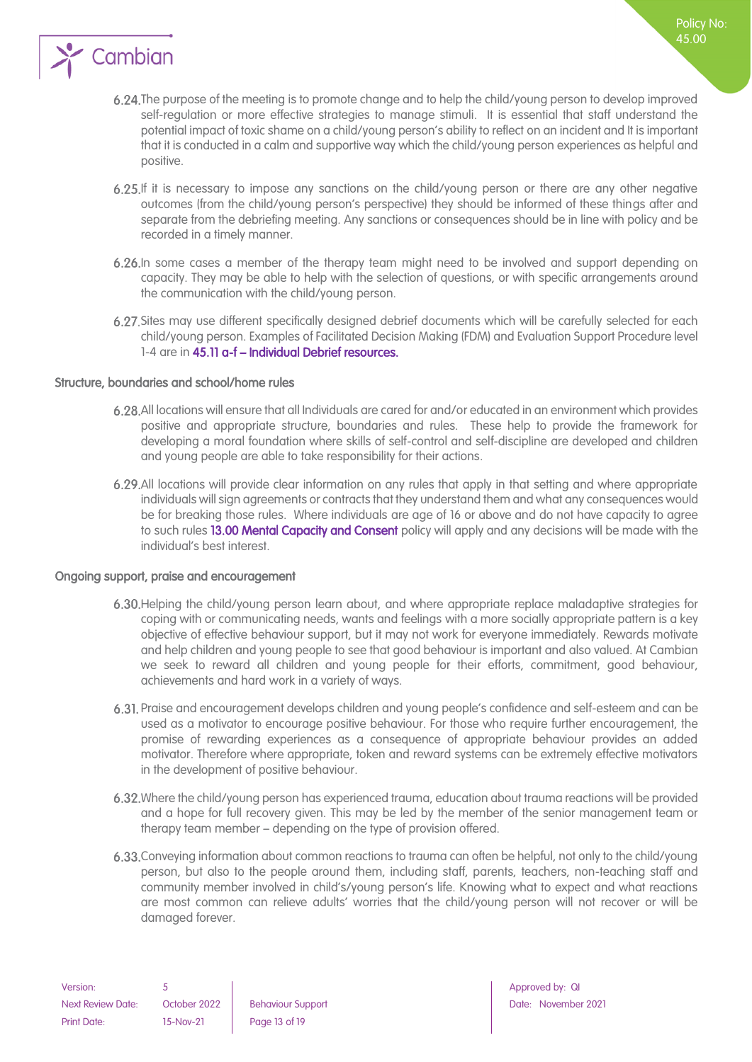

- 6.24. The purpose of the meeting is to promote change and to help the child/young person to develop improved self-regulation or more effective strategies to manage stimuli. It is essential that staff understand the potential impact of toxic shame on a child/young person's ability to reflect on an incident and It is important that it is conducted in a calm and supportive way which the child/young person experiences as helpful and positive.
- 6.25. If it is necessary to impose any sanctions on the child/young person or there are any other negative outcomes (from the child/young person's perspective) they should be informed of these things after and separate from the debriefing meeting. Any sanctions or consequences should be in line with policy and be recorded in a timely manner.
- 6.26. In some cases a member of the therapy team might need to be involved and support depending on capacity. They may be able to help with the selection of questions, or with specific arrangements around the communication with the child/young person.
- 6.27. Sites may use different specifically designed debrief documents which will be carefully selected for each child/young person. Examples of Facilitated Decision Making (FDM) and Evaluation Support Procedure level 1-4 are in 45.11 a-f – Individual Debrief resources.

#### <span id="page-12-0"></span>Structure, boundaries and school/home rules

- All locations will ensure that all Individuals are cared for and/or educated in an environment which provides positive and appropriate structure, boundaries and rules. These help to provide the framework for developing a moral foundation where skills of self-control and self-discipline are developed and children and young people are able to take responsibility for their actions.
- All locations will provide clear information on any rules that apply in that setting and where appropriate individuals will sign agreements or contracts that they understand them and what any consequences would be for breaking those rules. Where individuals are age of 16 or above and do not have capacity to agree to such rules 13.00 Mental Capacity and Consent policy will apply and any decisions will be made with the individual's best interest.

#### <span id="page-12-1"></span>Ongoing support, praise and encouragement

- Helping the child/young person learn about, and where appropriate replace maladaptive strategies for coping with or communicating needs, wants and feelings with a more socially appropriate pattern is a key objective of effective behaviour support, but it may not work for everyone immediately. Rewards motivate and help children and young people to see that good behaviour is important and also valued. At Cambian we seek to reward all children and young people for their efforts, commitment, good behaviour, achievements and hard work in a variety of ways.
- Praise and encouragement develops children and young people's confidence and self-esteem and can be used as a motivator to encourage positive behaviour. For those who require further encouragement, the promise of rewarding experiences as a consequence of appropriate behaviour provides an added motivator. Therefore where appropriate, token and reward systems can be extremely effective motivators in the development of positive behaviour.
- Where the child/young person has experienced trauma, education about trauma reactions will be provided and a hope for full recovery given. This may be led by the member of the senior management team or therapy team member – depending on the type of provision offered.
- Conveying information about common reactions to trauma can often be helpful, not only to the child/young person, but also to the people around them, including staff, parents, teachers, non-teaching staff and community member involved in child's/young person's life. Knowing what to expect and what reactions are most common can relieve adults' worries that the child/young person will not recover or will be damaged forever.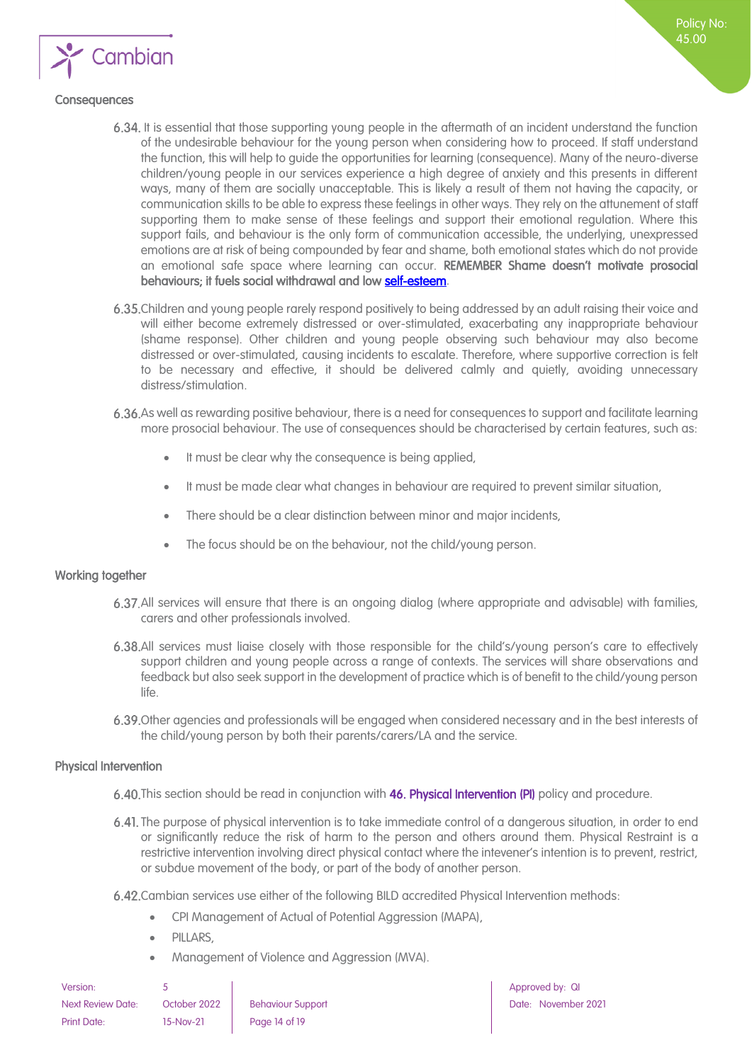

#### <span id="page-13-0"></span>**Consequences**

- 6.34. It is essential that those supporting young people in the aftermath of an incident understand the function of the undesirable behaviour for the young person when considering how to proceed. If staff understand the function, this will help to guide the opportunities for learning (consequence). Many of the neuro-diverse children/young people in our services experience a high degree of anxiety and this presents in different ways, many of them are socially unacceptable. This is likely a result of them not having the capacity, or communication skills to be able to express these feelings in other ways. They rely on the attunement of staff supporting them to make sense of these feelings and support their emotional regulation. Where this support fails, and behaviour is the only form of communication accessible, the underlying, unexpressed emotions are at risk of being compounded by fear and shame, both emotional states which do not provide an emotional safe space where learning can occur. REMEMBER Shame doesn't motivate prosocial behaviours; it fuels social withdrawal and lo[w self-esteem.](https://www.psychologytoday.com/us/basics/self-esteem)
- Children and young people rarely respond positively to being addressed by an adult raising their voice and will either become extremely distressed or over-stimulated, exacerbating any inappropriate behaviour (shame response). Other children and young people observing such behaviour may also become distressed or over-stimulated, causing incidents to escalate. Therefore, where supportive correction is felt to be necessary and effective, it should be delivered calmly and quietly, avoiding unnecessary distress/stimulation.
- As well as rewarding positive behaviour, there is a need for consequences to support and facilitate learning more prosocial behaviour. The use of consequences should be characterised by certain features, such as:
	- It must be clear why the consequence is being applied,
	- It must be made clear what changes in behaviour are required to prevent similar situation,
	- There should be a clear distinction between minor and major incidents,
	- The focus should be on the behaviour, not the child/young person.

#### <span id="page-13-1"></span>Working together

- All services will ensure that there is an ongoing dialog (where appropriate and advisable) with families, carers and other professionals involved.
- All services must liaise closely with those responsible for the child's/young person's care to effectively support children and young people across a range of contexts. The services will share observations and feedback but also seek support in the development of practice which is of benefit to the child/young person life.
- 6.39. Other agencies and professionals will be engaged when considered necessary and in the best interests of the child/young person by both their parents/carers/LA and the service.

#### <span id="page-13-2"></span>Physical Intervention

- 6.40. This section should be read in conjunction with 46. Physical Intervention (PI) policy and procedure.
- 6.41. The purpose of physical intervention is to take immediate control of a dangerous situation, in order to end or significantly reduce the risk of harm to the person and others around them. Physical Restraint is a restrictive intervention involving direct physical contact where the intevener's intention is to prevent, restrict, or subdue movement of the body, or part of the body of another person.
- Cambian services use either of the following BILD accredited Physical Intervention methods:
	- CPI Management of Actual of Potential Aggression (MAPA),
	- PILLARS.
	- Management of Violence and Aggression (MVA).

| Version:                 |              |                          |
|--------------------------|--------------|--------------------------|
| <b>Next Review Date:</b> | October 2022 | <b>Behaviour Support</b> |
| <b>Print Date:</b>       | 15-Nov-21    | Page 14 of 19            |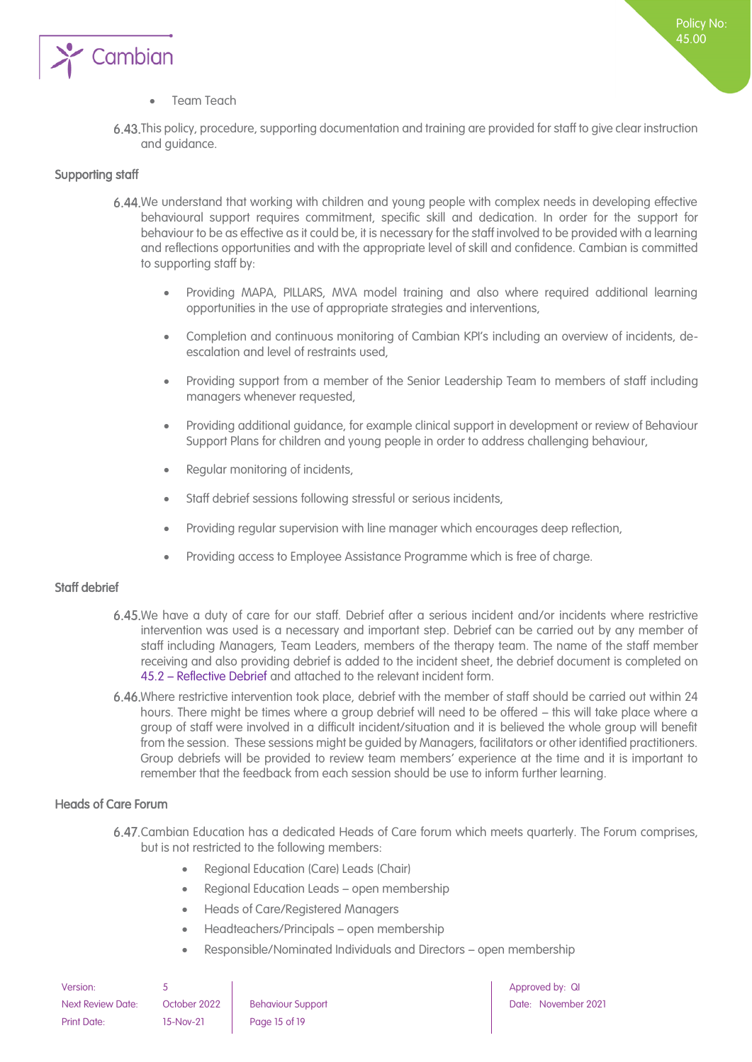

#### • Team Teach

This policy, procedure, supporting documentation and training are provided for staff to give clear instruction and guidance.

#### <span id="page-14-0"></span>Supporting staff

- 6.44. We understand that working with children and young people with complex needs in developing effective behavioural support requires commitment, specific skill and dedication. In order for the support for behaviour to be as effective as it could be, it is necessary for the staff involved to be provided with a learning and reflections opportunities and with the appropriate level of skill and confidence. Cambian is committed to supporting staff by:
	- Providing MAPA, PILLARS, MVA model training and also where required additional learning opportunities in the use of appropriate strategies and interventions,
	- Completion and continuous monitoring of Cambian KPI's including an overview of incidents, deescalation and level of restraints used,
	- Providing support from a member of the Senior Leadership Team to members of staff including managers whenever requested,
	- Providing additional guidance, for example clinical support in development or review of Behaviour Support Plans for children and young people in order to address challenging behaviour,
	- Regular monitoring of incidents,
	- Staff debrief sessions following stressful or serious incidents,
	- Providing regular supervision with line manager which encourages deep reflection,
	- Providing access to Employee Assistance Programme which is free of charge.

#### <span id="page-14-1"></span>Staff debrief

- 6.45. We have a duty of care for our staff. Debrief after a serious incident and/or incidents where restrictive intervention was used is a necessary and important step. Debrief can be carried out by any member of staff including Managers, Team Leaders, members of the therapy team. The name of the staff member receiving and also providing debrief is added to the incident sheet, the debrief document is completed on 45.2 – Reflective Debrief and attached to the relevant incident form.
- 6.46. Where restrictive intervention took place, debrief with the member of staff should be carried out within 24 hours. There might be times where a group debrief will need to be offered – this will take place where a group of staff were involved in a difficult incident/situation and it is believed the whole group will benefit from the session. These sessions might be guided by Managers, facilitators or other identified practitioners. Group debriefs will be provided to review team members' experience at the time and it is important to remember that the feedback from each session should be use to inform further learning.

#### <span id="page-14-2"></span>Heads of Care Forum

- Cambian Education has a dedicated Heads of Care forum which meets quarterly. The Forum comprises, but is not restricted to the following members:
	- Regional Education (Care) Leads (Chair)
	- Regional Education Leads open membership
	- Heads of Care/Registered Managers
	- Headteachers/Principals open membership
	- Responsible/Nominated Individuals and Directors open membership

| Version:                 |              |                          |
|--------------------------|--------------|--------------------------|
| <b>Next Review Date:</b> | October 2022 | <b>Behaviour Support</b> |
| <b>Print Date:</b>       | 15-Nov-21    | Page 15 of 19            |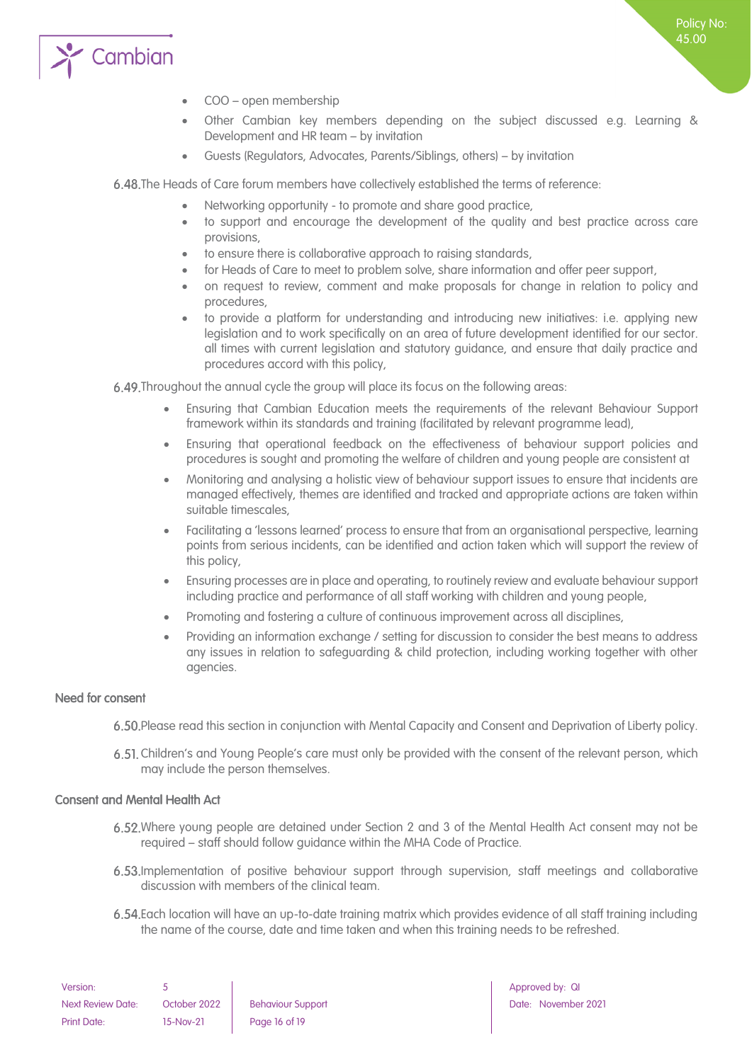

- COO open membership
- Other Cambian key members depending on the subject discussed e.g. Learning & Development and HR team – by invitation
- Guests (Regulators, Advocates, Parents/Siblings, others) by invitation

6.48. The Heads of Care forum members have collectively established the terms of reference:

- Networking opportunity to promote and share good practice,
- to support and encourage the development of the quality and best practice across care provisions,
- to ensure there is collaborative approach to raising standards,
- for Heads of Care to meet to problem solve, share information and offer peer support,
- on request to review, comment and make proposals for change in relation to policy and procedures,
- to provide a platform for understanding and introducing new initiatives: i.e. applying new legislation and to work specifically on an area of future development identified for our sector. all times with current legislation and statutory guidance, and ensure that daily practice and procedures accord with this policy,

Throughout the annual cycle the group will place its focus on the following areas:

- Ensuring that Cambian Education meets the requirements of the relevant Behaviour Support framework within its standards and training (facilitated by relevant programme lead),
- Ensuring that operational feedback on the effectiveness of behaviour support policies and procedures is sought and promoting the welfare of children and young people are consistent at
- Monitoring and analysing a holistic view of behaviour support issues to ensure that incidents are managed effectively, themes are identified and tracked and appropriate actions are taken within suitable timescales,
- Facilitating a 'lessons learned' process to ensure that from an organisational perspective, learning points from serious incidents, can be identified and action taken which will support the review of this policy,
- Ensuring processes are in place and operating, to routinely review and evaluate behaviour support including practice and performance of all staff working with children and young people,
- Promoting and fostering a culture of continuous improvement across all disciplines,
- Providing an information exchange / setting for discussion to consider the best means to address any issues in relation to safeguarding & child protection, including working together with other agencies.

#### <span id="page-15-0"></span>Need for consent

- Please read this section in conjunction with Mental Capacity and Consent and Deprivation of Liberty policy.
- Children's and Young People's care must only be provided with the consent of the relevant person, which may include the person themselves.

#### <span id="page-15-1"></span>Consent and Mental Health Act

- Where young people are detained under Section 2 and 3 of the Mental Health Act consent may not be required – staff should follow guidance within the MHA Code of Practice.
- Implementation of positive behaviour support through supervision, staff meetings and collaborative discussion with members of the clinical team.
- Each location will have an up-to-date training matrix which provides evidence of all staff training including the name of the course, date and time taken and when this training needs to be refreshed.

| Version:                 |              |                          |
|--------------------------|--------------|--------------------------|
| <b>Next Review Date:</b> | October 2022 | <b>Behaviour Support</b> |
| Print Date:              | 15-Nov-21    | Page 16 of 19            |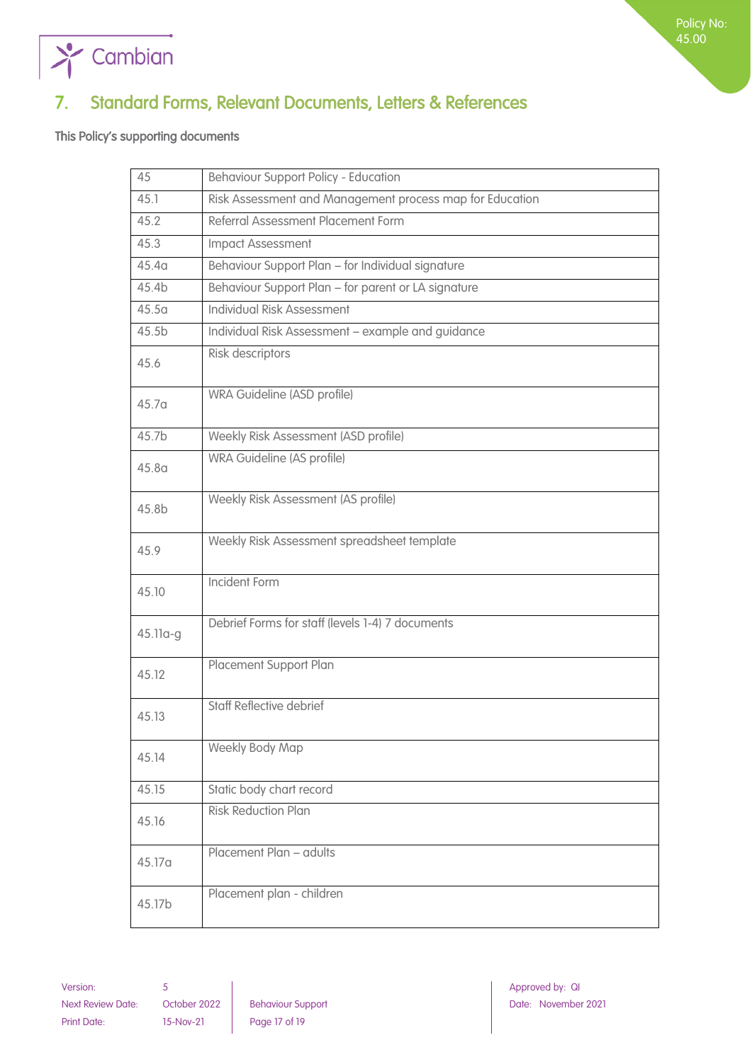

## <span id="page-16-0"></span>7. Standard Forms, Relevant Documents, Letters & References

<span id="page-16-1"></span>This Policy's supporting documents

| 45                | <b>Behaviour Support Policy - Education</b>              |
|-------------------|----------------------------------------------------------|
| 45.1              | Risk Assessment and Management process map for Education |
| 45.2              | Referral Assessment Placement Form                       |
| 45.3              | Impact Assessment                                        |
| 45.4 <sub>a</sub> | Behaviour Support Plan - for Individual signature        |
| 45.4b             | Behaviour Support Plan - for parent or LA signature      |
| 45.5a             | Individual Risk Assessment                               |
| 45.5 <sub>b</sub> | Individual Risk Assessment - example and guidance        |
| 45.6              | Risk descriptors                                         |
| 45.7 <sub>a</sub> | WRA Guideline (ASD profile)                              |
| 45.7b             | Weekly Risk Assessment (ASD profile)                     |
| 45.8 <sub>a</sub> | <b>WRA Guideline (AS profile)</b>                        |
| 45.8b             | Weekly Risk Assessment (AS profile)                      |
| 45.9              | Weekly Risk Assessment spreadsheet template              |
| 45.10             | <b>Incident Form</b>                                     |
| 45.11a-g          | Debrief Forms for staff (levels 1-4) 7 documents         |
| 45.12             | Placement Support Plan                                   |
| 45.13             | <b>Staff Reflective debrief</b>                          |
| 45.14             | <b>Weekly Body Map</b>                                   |
| 45.15             | Static body chart record                                 |
| 45.16             | <b>Risk Reduction Plan</b>                               |
| 45.17a            | Placement Plan - adults                                  |
| 45.17b            | Placement plan - children                                |

Version: 5 Approved by: QI Approved by: QI Approved by: QI Approved by: QI Approved by: QI Next Review Date: October 2022 Behaviour Support Next Review Date: November 2021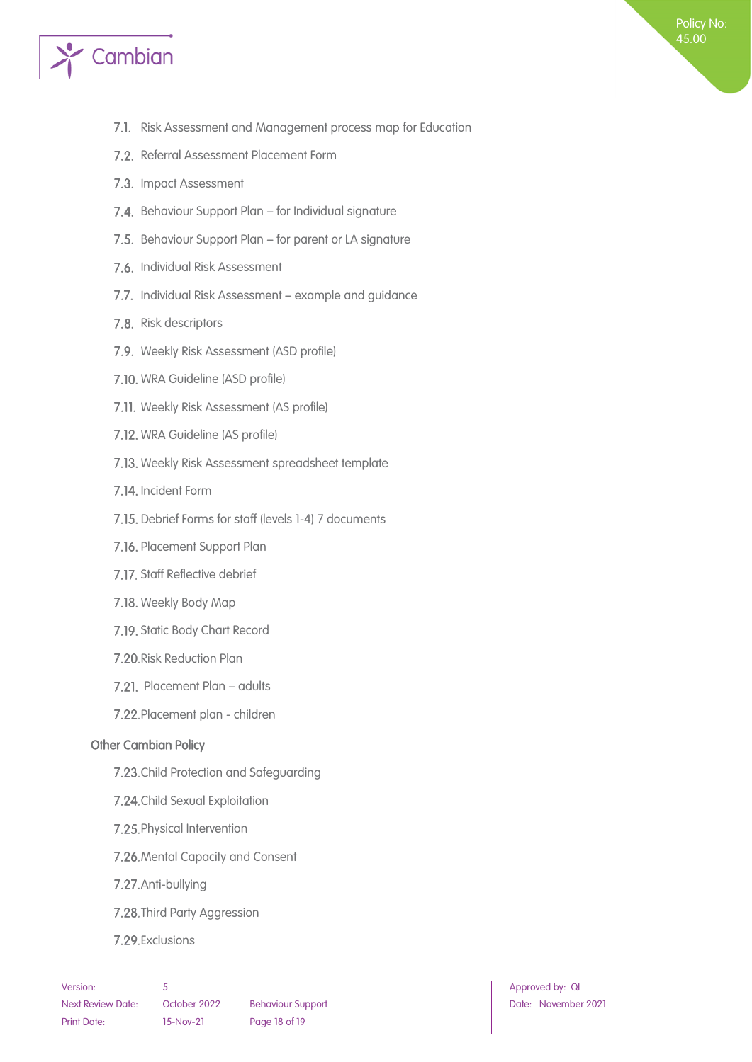

- 7.1. Risk Assessment and Management process map for Education
- 7.2. Referral Assessment Placement Form
- 7.3. Impact Assessment
- 7.4. Behaviour Support Plan for Individual signature
- 7.5. Behaviour Support Plan for parent or LA signature
- 7.6. Individual Risk Assessment
- 7.7. Individual Risk Assessment example and guidance
- 7.8. Risk descriptors
- 7.9. Weekly Risk Assessment (ASD profile)
- 7.10. WRA Guideline (ASD profile)
- 7.11. Weekly Risk Assessment (AS profile)
- 7.12. WRA Guideline (AS profile)
- 7.13. Weekly Risk Assessment spreadsheet template
- 7.14. Incident Form
- 7.15. Debrief Forms for staff (levels 1-4) 7 documents
- 7.16. Placement Support Plan
- 7.17. Staff Reflective debrief
- 7.18. Weekly Body Map
- 7.19. Static Body Chart Record
- 7.20. Risk Reduction Plan
- 7.21. Placement Plan adults
- 7.22. Placement plan children

#### <span id="page-17-0"></span>Other Cambian Policy

- 7.23. Child Protection and Safeguarding
- 7.24. Child Sexual Exploitation
- 7.25. Physical Intervention
- 7.26. Mental Capacity and Consent
- 7.27. Anti-bullying
- 7.28. Third Party Aggression
- 7.29. Exclusions